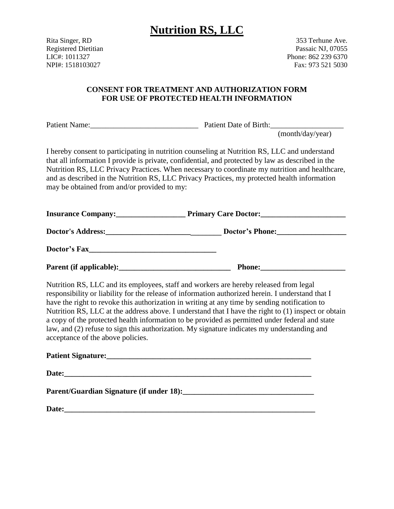Rita Singer, RD 353 Terhune Ave. Registered Dietitian **Passaic NJ, 07055** Passaic NJ, 07055 LIC#: 1011327 Phone: 862 239 6370 NPI#: 1518103027 Fax: 973 521 5030

### **CONSENT FOR TREATMENT AND AUTHORIZATION FORM FOR USE OF PROTECTED HEALTH INFORMATION**

Patient Name: The Patient Date of Birth:

(month/day/year)

I hereby consent to participating in nutrition counseling at Nutrition RS, LLC and understand that all information I provide is private, confidential, and protected by law as described in the Nutrition RS, LLC Privacy Practices. When necessary to coordinate my nutrition and healthcare, and as described in the Nutrition RS, LLC Privacy Practices, my protected health information may be obtained from and/or provided to my:

**Insurance Company:\_\_\_\_\_\_\_\_\_\_\_\_\_\_\_\_\_\_ Primary Care Doctor:\_\_\_\_\_\_\_\_\_\_\_\_\_\_\_\_\_\_\_\_\_\_**

**Doctor's Address:\_\_\_\_\_\_\_\_\_\_\_\_\_\_\_\_\_\_\_\_\_\_\_\_\_\_\_\_\_\_ Doctor's Phone:\_\_\_\_\_\_\_\_\_\_\_\_\_\_\_\_\_\_** 

**Doctor's Fax\_\_\_\_\_\_\_\_\_\_\_\_\_\_\_\_\_\_\_\_\_\_\_\_\_\_\_\_\_\_\_\_\_**

**Parent (if applicable):\_\_\_\_\_\_\_\_\_\_\_\_\_\_\_\_\_\_\_\_\_\_\_\_\_\_\_\_\_ Phone:\_\_\_\_\_\_\_\_\_\_\_\_\_\_\_\_\_\_\_\_\_\_**

Nutrition RS, LLC and its employees, staff and workers are hereby released from legal responsibility or liability for the release of information authorized herein. I understand that I have the right to revoke this authorization in writing at any time by sending notification to Nutrition RS, LLC at the address above. I understand that I have the right to (1) inspect or obtain a copy of the protected health information to be provided as permitted under federal and state law, and (2) refuse to sign this authorization. My signature indicates my understanding and acceptance of the above policies.

| Parent/Guardian Signature (if under 18): |  |
|------------------------------------------|--|
| Date:                                    |  |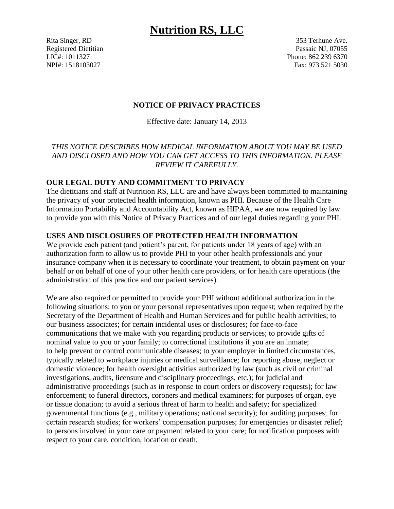Rita Singer, RD 353 Terhune Ave. Registered Dietitian **Passaic NJ, 07055** Passaic NJ, 07055 LIC#: 1011327 Phone: 862 239 6370 NPI#: 1518103027 Fax: 973 521 5030

### **NOTICE OF PRIVACY PRACTICES**

Effective date: January 14, 2013

## *THIS NOTICE DESCRIBES HOW MEDICAL INFORMATION ABOUT YOU MAY BE USED AND DISCLOSED AND HOW YOU CAN GET ACCESS TO THIS INFORMATION. PLEASE REVIEW IT CAREFULLY.*

### **OUR LEGAL DUTY AND COMMITMENT TO PRIVACY**

The dietitians and staff at Nutrition RS, LLC are and have always been committed to maintaining the privacy of your protected health information, known as PHI. Because of the Health Care Information Portability and Accountability Act, known as HIPAA, we are now required by law to provide you with this Notice of Privacy Practices and of our legal duties regarding your PHI.

### **USES AND DISCLOSURES OF PROTECTED HEALTH INFORMATION**

We provide each patient (and patient's parent, for patients under 18 years of age) with an authorization form to allow us to provide PHI to your other health professionals and your insurance company when it is necessary to coordinate your treatment, to obtain payment on your behalf or on behalf of one of your other health care providers, or for health care operations (the administration of this practice and our patient services).

We are also required or permitted to provide your PHI without additional authorization in the following situations: to you or your personal representatives upon request; when required by the Secretary of the Department of Health and Human Services and for public health activities; to our business associates; for certain incidental uses or disclosures; for face-to-face communications that we make with you regarding products or services; to provide gifts of nominal value to you or your family; to correctional institutions if you are an inmate; to help prevent or control communicable diseases; to your employer in limited circumstances, typically related to workplace injuries or medical surveillance; for reporting abuse, neglect or domestic violence; for health oversight activities authorized by law (such as civil or criminal investigations, audits, licensure and disciplinary proceedings, etc.); for judicial and administrative proceedings (such as in response to court orders or discovery requests); for law enforcement; to funeral directors, coroners and medical examiners; for purposes of organ, eye or tissue donation; to avoid a serious threat of harm to health and safety; for specialized governmental functions (e.g., military operations; national security); for auditing purposes; for certain research studies; for workers' compensation purposes; for emergencies or disaster relief; to persons involved in your care or payment related to your care; for notification purposes with respect to your care, condition, location or death.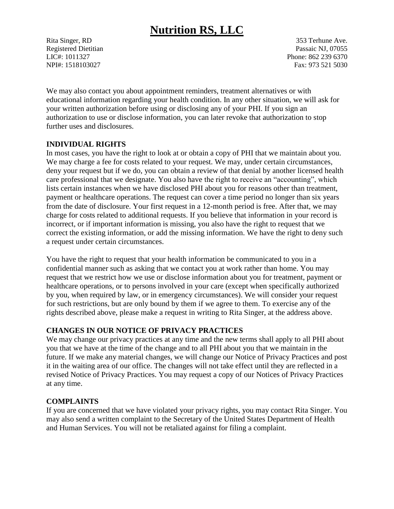Rita Singer, RD 353 Terhune Ave. Registered Dietitian Passaic NJ, 07055 LIC#: 1011327 Phone: 862 239 6370 NPI#: 1518103027 Fax: 973 521 5030

We may also contact you about appointment reminders, treatment alternatives or with educational information regarding your health condition. In any other situation, we will ask for your written authorization before using or disclosing any of your PHI. If you sign an authorization to use or disclose information, you can later revoke that authorization to stop further uses and disclosures.

### **INDIVIDUAL RIGHTS**

In most cases, you have the right to look at or obtain a copy of PHI that we maintain about you. We may charge a fee for costs related to your request. We may, under certain circumstances, deny your request but if we do, you can obtain a review of that denial by another licensed health care professional that we designate. You also have the right to receive an "accounting", which lists certain instances when we have disclosed PHI about you for reasons other than treatment, payment or healthcare operations. The request can cover a time period no longer than six years from the date of disclosure. Your first request in a 12-month period is free. After that, we may charge for costs related to additional requests. If you believe that information in your record is incorrect, or if important information is missing, you also have the right to request that we correct the existing information, or add the missing information. We have the right to deny such a request under certain circumstances.

You have the right to request that your health information be communicated to you in a confidential manner such as asking that we contact you at work rather than home. You may request that we restrict how we use or disclose information about you for treatment, payment or healthcare operations, or to persons involved in your care (except when specifically authorized by you, when required by law, or in emergency circumstances). We will consider your request for such restrictions, but are only bound by them if we agree to them. To exercise any of the rights described above, please make a request in writing to Rita Singer, at the address above.

#### **CHANGES IN OUR NOTICE OF PRIVACY PRACTICES**

We may change our privacy practices at any time and the new terms shall apply to all PHI about you that we have at the time of the change and to all PHI about you that we maintain in the future. If we make any material changes, we will change our Notice of Privacy Practices and post it in the waiting area of our office. The changes will not take effect until they are reflected in a revised Notice of Privacy Practices. You may request a copy of our Notices of Privacy Practices at any time.

### **COMPLAINTS**

If you are concerned that we have violated your privacy rights, you may contact Rita Singer. You may also send a written complaint to the Secretary of the United States Department of Health and Human Services. You will not be retaliated against for filing a complaint.